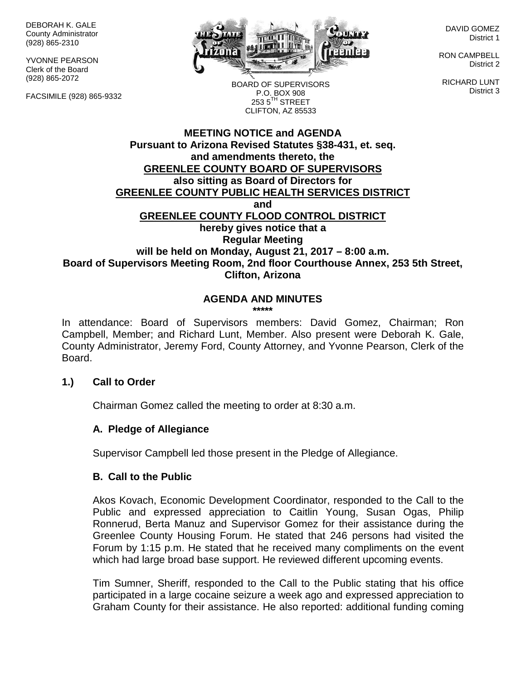DEBORAH K. GALE County Administrator (928) 865-2310

YVONNE PEARSON Clerk of the Board (928) 865-2072

FACSIMILE (928) 865-9332



DAVID GOMEZ District 1

RON CAMPBELL District 2

RICHARD LUNT District 3

BOARD OF SUPERVISORS P.O. BOX 908  $253.5$ <sup>TH</sup> STREET CLIFTON, AZ 85533

## **MEETING NOTICE and AGENDA Pursuant to Arizona Revised Statutes §38-431, et. seq. and amendments thereto, the GREENLEE COUNTY BOARD OF SUPERVISORS also sitting as Board of Directors for GREENLEE COUNTY PUBLIC HEALTH SERVICES DISTRICT and GREENLEE COUNTY FLOOD CONTROL DISTRICT hereby gives notice that a Regular Meeting will be held on Monday, August 21, 2017 – 8:00 a.m. Board of Supervisors Meeting Room, 2nd floor Courthouse Annex, 253 5th Street, Clifton, Arizona**

# **AGENDA AND MINUTES**

**\*\*\*\*\***

In attendance: Board of Supervisors members: David Gomez, Chairman; Ron Campbell, Member; and Richard Lunt, Member. Also present were Deborah K. Gale, County Administrator, Jeremy Ford, County Attorney, and Yvonne Pearson, Clerk of the Board.

## **1.) Call to Order**

Chairman Gomez called the meeting to order at 8:30 a.m.

## **A. Pledge of Allegiance**

Supervisor Campbell led those present in the Pledge of Allegiance.

## **B. Call to the Public**

Akos Kovach, Economic Development Coordinator, responded to the Call to the Public and expressed appreciation to Caitlin Young, Susan Ogas, Philip Ronnerud, Berta Manuz and Supervisor Gomez for their assistance during the Greenlee County Housing Forum. He stated that 246 persons had visited the Forum by 1:15 p.m. He stated that he received many compliments on the event which had large broad base support. He reviewed different upcoming events.

Tim Sumner, Sheriff, responded to the Call to the Public stating that his office participated in a large cocaine seizure a week ago and expressed appreciation to Graham County for their assistance. He also reported: additional funding coming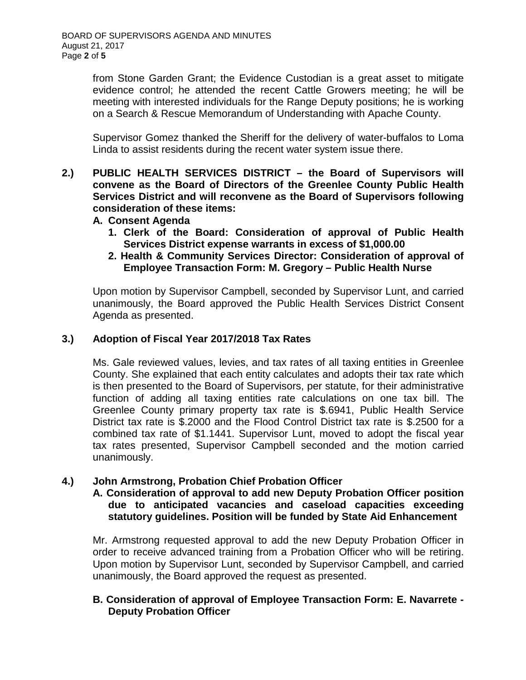from Stone Garden Grant; the Evidence Custodian is a great asset to mitigate evidence control; he attended the recent Cattle Growers meeting; he will be meeting with interested individuals for the Range Deputy positions; he is working on a Search & Rescue Memorandum of Understanding with Apache County.

Supervisor Gomez thanked the Sheriff for the delivery of water-buffalos to Loma Linda to assist residents during the recent water system issue there.

- **2.) PUBLIC HEALTH SERVICES DISTRICT – the Board of Supervisors will convene as the Board of Directors of the Greenlee County Public Health Services District and will reconvene as the Board of Supervisors following consideration of these items:**
	- **A. Consent Agenda**
		- **1. Clerk of the Board: Consideration of approval of Public Health Services District expense warrants in excess of \$1,000.00**
		- **2. Health & Community Services Director: Consideration of approval of Employee Transaction Form: M. Gregory – Public Health Nurse**

Upon motion by Supervisor Campbell, seconded by Supervisor Lunt, and carried unanimously, the Board approved the Public Health Services District Consent Agenda as presented.

# **3.) Adoption of Fiscal Year 2017/2018 Tax Rates**

Ms. Gale reviewed values, levies, and tax rates of all taxing entities in Greenlee County. She explained that each entity calculates and adopts their tax rate which is then presented to the Board of Supervisors, per statute, for their administrative function of adding all taxing entities rate calculations on one tax bill. The Greenlee County primary property tax rate is \$.6941, Public Health Service District tax rate is \$.2000 and the Flood Control District tax rate is \$.2500 for a combined tax rate of \$1.1441. Supervisor Lunt, moved to adopt the fiscal year tax rates presented, Supervisor Campbell seconded and the motion carried unanimously.

## **4.) John Armstrong, Probation Chief Probation Officer**

#### **A. Consideration of approval to add new Deputy Probation Officer position due to anticipated vacancies and caseload capacities exceeding statutory guidelines. Position will be funded by State Aid Enhancement**

Mr. Armstrong requested approval to add the new Deputy Probation Officer in order to receive advanced training from a Probation Officer who will be retiring. Upon motion by Supervisor Lunt, seconded by Supervisor Campbell, and carried unanimously, the Board approved the request as presented.

## **B. Consideration of approval of Employee Transaction Form: E. Navarrete - Deputy Probation Officer**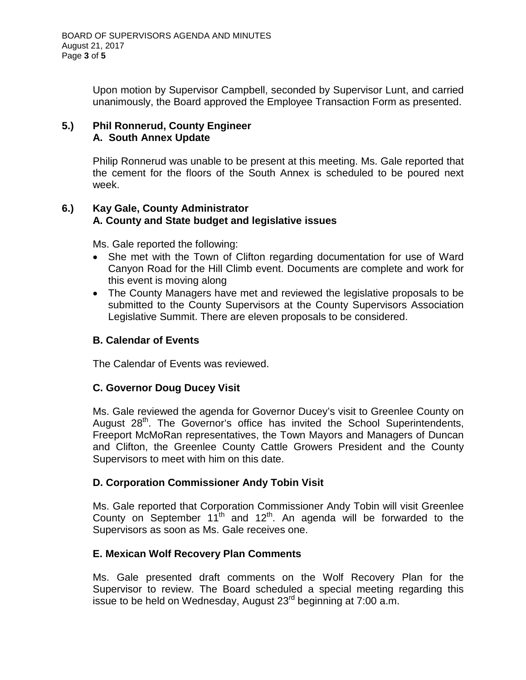Upon motion by Supervisor Campbell, seconded by Supervisor Lunt, and carried unanimously, the Board approved the Employee Transaction Form as presented.

## **5.) Phil Ronnerud, County Engineer A. South Annex Update**

Philip Ronnerud was unable to be present at this meeting. Ms. Gale reported that the cement for the floors of the South Annex is scheduled to be poured next week.

# **6.) Kay Gale, County Administrator A. County and State budget and legislative issues**

Ms. Gale reported the following:

- She met with the Town of Clifton regarding documentation for use of Ward Canyon Road for the Hill Climb event. Documents are complete and work for this event is moving along
- The County Managers have met and reviewed the legislative proposals to be submitted to the County Supervisors at the County Supervisors Association Legislative Summit. There are eleven proposals to be considered.

## **B. Calendar of Events**

The Calendar of Events was reviewed.

# **C. Governor Doug Ducey Visit**

Ms. Gale reviewed the agenda for Governor Ducey's visit to Greenlee County on August 28<sup>th</sup>. The Governor's office has invited the School Superintendents, Freeport McMoRan representatives, the Town Mayors and Managers of Duncan and Clifton, the Greenlee County Cattle Growers President and the County Supervisors to meet with him on this date.

## **D. Corporation Commissioner Andy Tobin Visit**

Ms. Gale reported that Corporation Commissioner Andy Tobin will visit Greenlee County on September 11<sup>th</sup> and 12<sup>th</sup>. An agenda will be forwarded to the Supervisors as soon as Ms. Gale receives one.

## **E. Mexican Wolf Recovery Plan Comments**

Ms. Gale presented draft comments on the Wolf Recovery Plan for the Supervisor to review. The Board scheduled a special meeting regarding this issue to be held on Wednesday, August 23<sup>rd</sup> beginning at 7:00 a.m.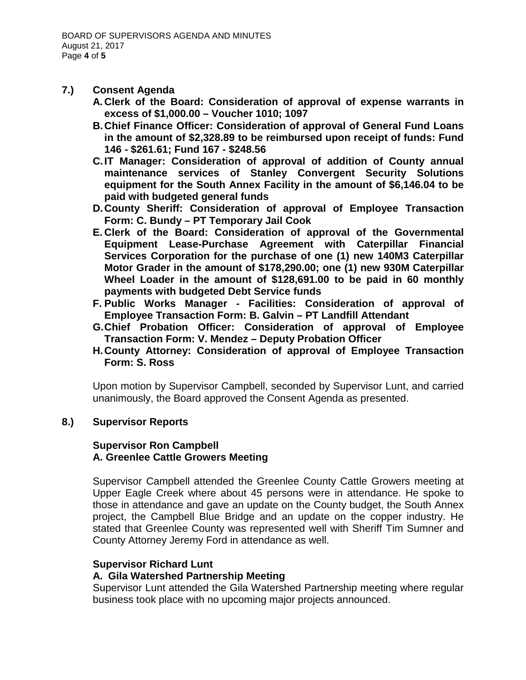#### **7.) Consent Agenda**

- **A. Clerk of the Board: Consideration of approval of expense warrants in excess of \$1,000.00 – Voucher 1010; 1097**
- **B.Chief Finance Officer: Consideration of approval of General Fund Loans in the amount of \$2,328.89 to be reimbursed upon receipt of funds: Fund 146 - \$261.61; Fund 167 - \$248.56**
- **C.IT Manager: Consideration of approval of addition of County annual maintenance services of Stanley Convergent Security Solutions equipment for the South Annex Facility in the amount of \$6,146.04 to be paid with budgeted general funds**
- **D.County Sheriff: Consideration of approval of Employee Transaction Form: C. Bundy – PT Temporary Jail Cook**
- **E. Clerk of the Board: Consideration of approval of the Governmental Equipment Lease-Purchase Agreement with Caterpillar Financial Services Corporation for the purchase of one (1) new 140M3 Caterpillar Motor Grader in the amount of \$178,290.00; one (1) new 930M Caterpillar Wheel Loader in the amount of \$128,691.00 to be paid in 60 monthly payments with budgeted Debt Service funds**
- **F. Public Works Manager - Facilities: Consideration of approval of Employee Transaction Form: B. Galvin – PT Landfill Attendant**
- **G.Chief Probation Officer: Consideration of approval of Employee Transaction Form: V. Mendez – Deputy Probation Officer**
- **H.County Attorney: Consideration of approval of Employee Transaction Form: S. Ross**

Upon motion by Supervisor Campbell, seconded by Supervisor Lunt, and carried unanimously, the Board approved the Consent Agenda as presented.

## **8.) Supervisor Reports**

## **Supervisor Ron Campbell A. Greenlee Cattle Growers Meeting**

Supervisor Campbell attended the Greenlee County Cattle Growers meeting at Upper Eagle Creek where about 45 persons were in attendance. He spoke to those in attendance and gave an update on the County budget, the South Annex project, the Campbell Blue Bridge and an update on the copper industry. He stated that Greenlee County was represented well with Sheriff Tim Sumner and County Attorney Jeremy Ford in attendance as well.

#### **Supervisor Richard Lunt**

## **A. Gila Watershed Partnership Meeting**

Supervisor Lunt attended the Gila Watershed Partnership meeting where regular business took place with no upcoming major projects announced.